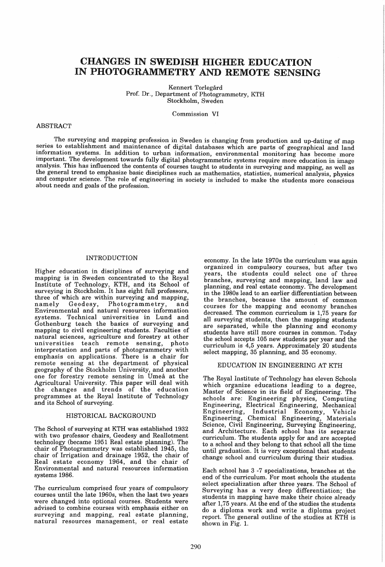# CHANGES IN SWEDISH HIGHER EDUCATION IN PHOTOGRAMMETRY AND REMOTE SENSING

Kennert Torlegård Prof. Dr., Department of Photogrammetry, KTH Stockholm, Sweden

Commission VI

#### ABSTRACT

The surveying and mapping profession in Sweden is changing from production and up-dating of map series to establishment and maintenance of digital databases which are parts of geographical and land information systems. In addition to urban information, environmental monitoring has become more important. The development towards fully digital photogrammetric systems require more education in image analysis. This has influenced the contents of courses taught to students in surveying and mapping, as well as the general trend to emphasize basic disciplines such as mathematics, statistics, numerical analysis, physics and computer science. The role of engineering in society is included to make the students more conscious about needs and goals of the profession.

## INTRODUCTION

Higher education in disciplines of surveying and mapping is in Sweden concentrated to the Royal Institute of Technology, KTH, and its School of surveying in Stockholm. It has eight full professors, three of which are within surveying and mapping, Photogrammetry, and Environmental and natural resources information systems. Technical universities in Lund and Gothenburg teach the basics of surveying and mapping to civil engineering students. Faculties of natural sciences, agriculture and forestry at other universities teach remote sensing, photo interpretation and parts of photogrammetry with emphasis on applications. There is a chair for remote sensing at the department of physical geography of the Stockholm University, and another one for forestry remote sensing in Umea at the Agricultural University. This paper will deal with the changes and trends of the education programmes at the Royal Institute of Technology and its School of surveying.

#### HISTORICAL BACKGROUND

The School of surveying at KTH was established 1932 with two professor chairs, Geodesy and Reallotment technology (became 1951 Real estate planning). The chair of Photogrammetry was established 1945, the chair of Irrigation and drainage 1952, the chair of Real estate economy 1964, and the chair of Environmental and natural resources information systems 1986.

The curriculum comprised four years of compulsory courses until the late 1960s, when the last two years were changed into optional courses. Students were advised to combine courses with emphasis either on surveying and mapping, real estate planning, natural resources management, or real estate

economy. In the late 1970s the curriculum was again organized in compulsory courses, but after two years, the students could select one of three branches, surveying and mapping, land law and planning, and real estate economy. The development in the 1980s lead to an earlier differentiation between the branches, because the amount of common courses for the mapping and economy branches decreased. The common curriculum is 1,75 years for all surveying students, then the mapping students are separated, while the planning and economy students have still more courses in common. Today the school accepts 105 new students per year and the curriculum is 4,5 years. Approximately 20 students select mapping, 35 planning, and 35 economy.

#### EDUCATION IN ENGINEERING AT KTH

The Royal Institute of Technology has eleven Schools which organize educations leading to a degree, Master of Science in its field of Engineering. The schools are: Engineering physics, Computing Engineering, Electrical Engineering, Mechanical Engineering, Industrial Economy, Vehicle Engineering, Chemical Engineering, Materials Science, Civil Engineering, Surveying Engineering, and Architecture. Each school has its separate curriculum. The students apply for and are accepted to a school and they belong to that school all the time until graduation. It is very exceptional that students change school and curriculum during their studies.

Each school has 3 -7 specializations, branches at the end of the curriculum. For most schools the students select specialization after three years. The School of Surveying has a very deep differentiation; the students in mapping have make their choice already after 1,75 years. At the end of the studies the students do a diploma work and write a diploma project report. The general outline of the studies at KTH is shown in Fig. 1.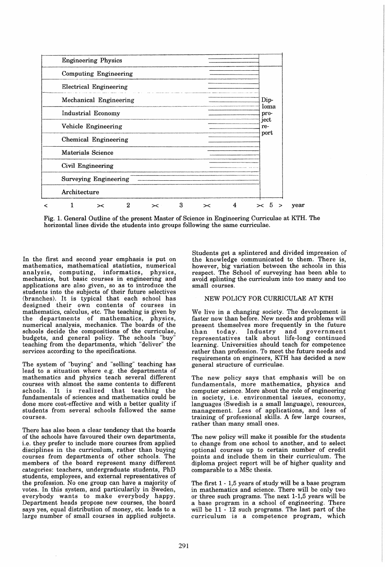

Fig. 1. General Outline of the present Master of Science in Engineering Curriculae at KTH. The horizontal lines divide the students into groups following the same curriculae.

In the first and second year emphasis is put on mathematics, mathematical statistics, numerical<br>analysis, computing, informatics, physics, computing, informatics, physics, mechanics, but basic courses in engineering and applications are also given, so as to introduce the students into the subjects of their future selectives (branches). It is typical that each school has designed their own contents of courses in mathematics, calculus, etc. The teaching is given by the departments of mathematics, physics, numerical analysis, mechanics. The boards of the schools decide the compositions of the curriculae, budgets, and general policy. The schools "buy" teaching from the departments, which "deliver" the services according to the specifications.

The system of "buying" and "selling" teaching has lead to a situation where e.g. the departments of mathematics and physics teach several different courses with almost the same contents to different schools. It is realized that teaching the fundamentals of sciences and mathematics could be done more cost-effective and with a better quality if students from several schools followed the same courses.

There has also been a clear tendency that the boards of the schools have favoured their own departments, i.e. they prefer to include more courses from applied disciplines in the curriculum, rather than buying courses from departments of other schools. The members of the board represent many different categories: teachers, undergraduate students, PhD students, employees, and external representatives of the profession. No one group can have a majority of votes. In this system, and particularily in Sweden, everybody wants to make everybody happy. Department heads propose new courses, the board says yes, equal distribution of money, etc. leads to a large number of small courses in applied subjects.

Students get a splintered and divided impression of the knowledge communicated to them. There is, however, big variation between the schools in this respect. The School of surveying has been able to avoid splinting the curriculum into too many and too small courses.

## NEW POLICY FOR CURRICULAE AT KTH

We live in a changing society. The development is faster now than before. New needs and problems will present themselves more frequently in the future<br>than today. Industry and government than today. Industry and government representatives talk about life-long continued learning. Universities should teach for competence rather than profession. To meet the future needs and requirements on engineers, KTH has decided a new general structure of curriculae.

The new policy says that emphasis will be on fundamentals, more mathematics, physics and computer science. More about the role of engineering in society, i.e. environmental issues, economy, languages (Swedish is a small language), resources, management. Less of applications, and less of training of professional skills. A few large courses, rather than many small ones.

The new policy will make it possible for the students to change from one school to another, and to select optional courses up to certain number of credit points and include them in their curriculum. The diploma project report will be of higher quality and comparable to a MSc thesis.

The first 1 - 1,5 years of study will be a base program in mathematics and science. There will be only two or three such programs. The next 1-1,5 years will be a base program in a school of engineering. There will be 11 - 12 such programs. The last part of the curriculum is a competence program, which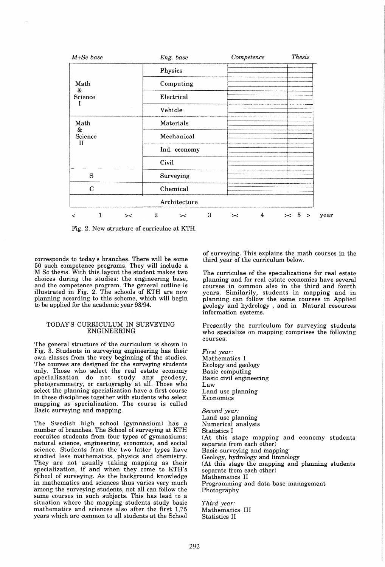

Fig. 2. New structure of curriculae at KTH.

corresponds to today's branches. There will be some 50 such competence programs. They will include a M Sc thesis. With this layout the student makes two choices during the studies: the engineering base, and the competence program. The general outline is illustrated in Fig. 2. The schools of KTH are now planning according to this scheme, which will begin to be applied for the academic year 93/94.

## TODAY'S CURRICULUM IN SURVEYING **ENGINEERING**

The general structure of the curriculum is shown in Fig. 3. Students in surveying engineering has their own classes from the very beginning of the studies. The courses are designed for the surveying students only. Those who select the real estate economy specialization do not study any geodesy, specialization do not study any geodesy, photogrammetry, or cartography at all. Those who select the planning specialization have a first course in these disciplines together with students who select mapping as specialization. The course is called Basic surveying and mapping.

The Swedish high school (gymnasium) has number of branches. The School of surveying at KTH recruites students from four types of gymnasiums: natural science, engineering, economics, and social science. Students from the two latter types have studied less mathematics, physics and chemistry. They are not usually taking mapping as their specialization, if and when they come to KTH's School of surveying. As the background knowledge in mathematics and sciences thus varies very much among the surveying students, not all can follow the same courses in such subjects. This has lead to a situation where the mapping students study basic mathematics and sciences also after the first 1,75 years which are common to all students at the School

of surveying. This explains the math courses in the third year of the curriculum below.

The curriculae of the specializations for real estate planning and for real estate economics have several courses in common also in the third and fourth years. Similarily, students in mapping and in planning can follow the same courses in Applied geology and hydrology , and in Natural resources information systems.

Presently the curriculum for surveying students who specialize on mapping comprises the following courses:

*First year:*  Mathematics I Ecology and geology Basic computing Basic civil engineering Law Land use planning Economics

*Second year:*  Land use planning Numerical analysis Statistics I (At this stage mapping and economy students separate from each other) Basic surveying and mapping Geology, hydrology and limnology (At this stage the mapping and planning students separate from each other) Mathematics II Programming and data base management Photography

*Third year:*  Mathematics III Statistics II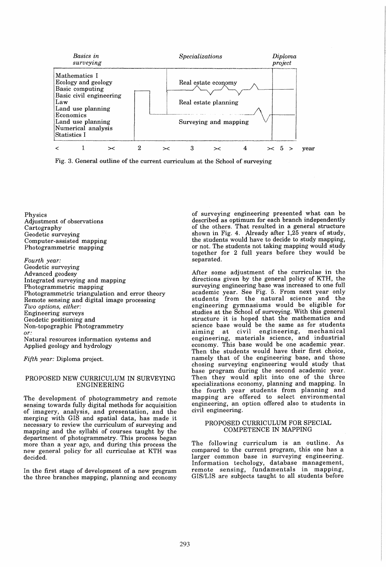



Physics Adjustment of observations Cartography Geodetic surveying Computer-assisted mapping Photogrammetric mapping

*Fourth year:*  Geodetic surveying Advanced geodesy Integrated surveying and mapping Photogrammetric mapping Photogrammetric triangulation and error theory Remote sensing and digital image processing *Two options, either:*  Engineering surveys Geodetic positioning and Non-topographic Photogrammetry *or:*  Natural resources information systems and Applied geology and hydrology

*Fifth year:* Diploma project.

## PROPOSED NEW CURRICULUM IN SURVEYING **ENGINEERING**

The development of photogrammetry and remote sensing towards fully digital methods for acquisition of imagery, analysis, and presentation, and the merging with GIS and spatial data, has made it necessary to review the curriculum of surveying and mapping and the syllabi of courses taught by the department of photogrammetry. This process began more than a year ago, and during this process the new general policy for all curriculae at KTH was decided.

In the first stage of development of a new program the three branches mapping, planning and economy of surveying engineering presented what can be described as optimum for each branch independently of the others. That resulted in a general structure shown in Fig. 4. Already after 1,25 years of study, the students would have to decide to study mapping, or not. The students not taking mapping would study together for 2 full years before they would be separated.

Mter some adjustment of the curriculae in the directions given by the general policy of KTH, the surveying engineering base was increased to one full academic year. See Fig. 5. From next year only students from the natural science and the engineering gymnasiums would be eligible for studies at the School of surveying. With this general structure it is hoped that the mathematics and science base would be the same as for students aiming at civil engineering, mechanical engineering, materials science, and industrial economy. This base would be one academic year. Then the students would have their first choice, namely that of the engineering base, and those chosing surveying engineering would study that base program during the second academic year. Then they would split into one of the three specializations economy, planning and mapping. In the fourth year students from planning and mapping are offered to select environmental engineering, an option offered also to students in civil engineering.

#### PROPOSED CURRICULUM FOR SPECIAL COMPETENCE IN MAPPING

The following curriculum is an outline. As compared to the current program, this one has a larger common base in surveying engineering. Information techology, database management, remote sensing, fundamentals in mapping, GIS/LIS are subjects taught to all students before